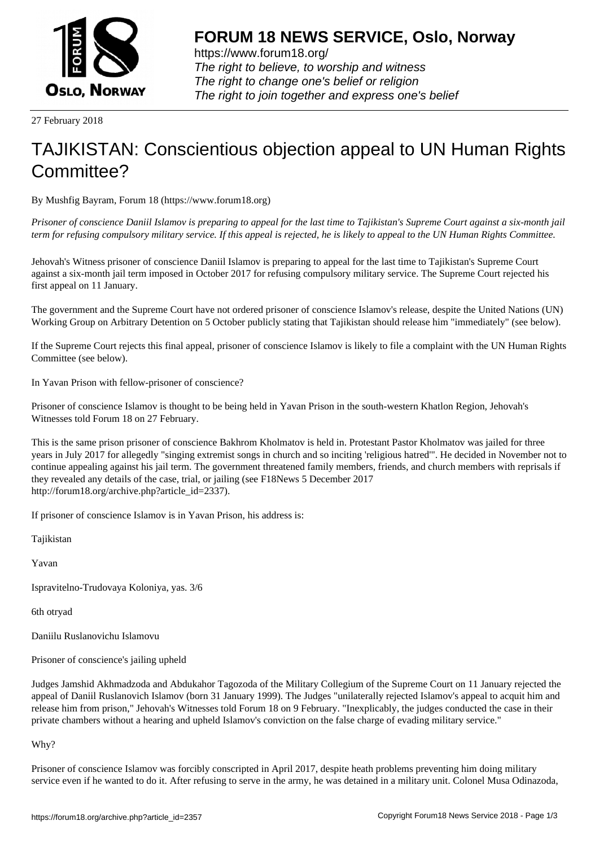

https://www.forum18.org/ The right to believe, to worship and witness The right to change one's belief or religion [The right to join together a](https://www.forum18.org/)nd express one's belief

27 February 2018

## [TAJIKISTAN: C](https://www.forum18.org)onscientious objection appeal to UN Human Rights Committee?

By Mushfig Bayram, Forum 18 (https://www.forum18.org)

*Prisoner of conscience Daniil Islamov is preparing to appeal for the last time to Tajikistan's Supreme Court against a six-month jail term for refusing compulsory military service. If this appeal is rejected, he is likely to appeal to the UN Human Rights Committee.*

Jehovah's Witness prisoner of conscience Daniil Islamov is preparing to appeal for the last time to Tajikistan's Supreme Court against a six-month jail term imposed in October 2017 for refusing compulsory military service. The Supreme Court rejected his first appeal on 11 January.

The government and the Supreme Court have not ordered prisoner of conscience Islamov's release, despite the United Nations (UN) Working Group on Arbitrary Detention on 5 October publicly stating that Tajikistan should release him "immediately" (see below).

If the Supreme Court rejects this final appeal, prisoner of conscience Islamov is likely to file a complaint with the UN Human Rights Committee (see below).

In Yavan Prison with fellow-prisoner of conscience?

Prisoner of conscience Islamov is thought to be being held in Yavan Prison in the south-western Khatlon Region, Jehovah's Witnesses told Forum 18 on 27 February.

This is the same prison prisoner of conscience Bakhrom Kholmatov is held in. Protestant Pastor Kholmatov was jailed for three years in July 2017 for allegedly "singing extremist songs in church and so inciting 'religious hatred'". He decided in November not to continue appealing against his jail term. The government threatened family members, friends, and church members with reprisals if they revealed any details of the case, trial, or jailing (see F18News 5 December 2017 http://forum18.org/archive.php?article\_id=2337).

If prisoner of conscience Islamov is in Yavan Prison, his address is:

Tajikistan

Yavan

Ispravitelno-Trudovaya Koloniya, yas. 3/6

6th otryad

Daniilu Ruslanovichu Islamovu

Prisoner of conscience's jailing upheld

Judges Jamshid Akhmadzoda and Abdukahor Tagozoda of the Military Collegium of the Supreme Court on 11 January rejected the appeal of Daniil Ruslanovich Islamov (born 31 January 1999). The Judges "unilaterally rejected Islamov's appeal to acquit him and release him from prison," Jehovah's Witnesses told Forum 18 on 9 February. "Inexplicably, the judges conducted the case in their private chambers without a hearing and upheld Islamov's conviction on the false charge of evading military service."

Why?

Prisoner of conscience Islamov was forcibly conscripted in April 2017, despite heath problems preventing him doing military service even if he wanted to do it. After refusing to serve in the army, he was detained in a military unit. Colonel Musa Odinazoda,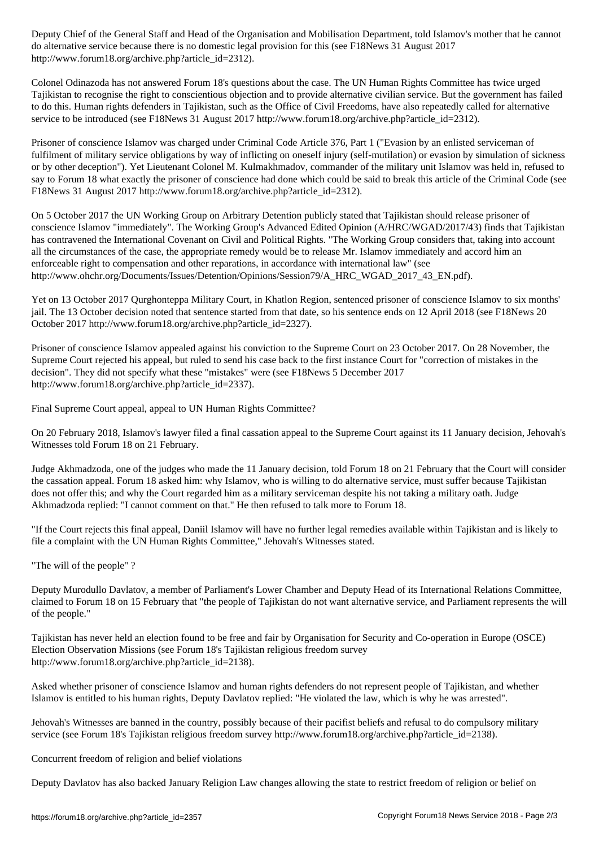do alternative service because there is no domestic legal provision for this (see F18News 31 August 2017 http://www.forum18.org/archive.php?article\_id=2312).

Colonel Odinazoda has not answered Forum 18's questions about the case. The UN Human Rights Committee has twice urged Tajikistan to recognise the right to conscientious objection and to provide alternative civilian service. But the government has failed to do this. Human rights defenders in Tajikistan, such as the Office of Civil Freedoms, have also repeatedly called for alternative service to be introduced (see F18News 31 August 2017 http://www.forum18.org/archive.php?article\_id=2312).

Prisoner of conscience Islamov was charged under Criminal Code Article 376, Part 1 ("Evasion by an enlisted serviceman of fulfilment of military service obligations by way of inflicting on oneself injury (self-mutilation) or evasion by simulation of sickness or by other deception"). Yet Lieutenant Colonel M. Kulmakhmadov, commander of the military unit Islamov was held in, refused to say to Forum 18 what exactly the prisoner of conscience had done which could be said to break this article of the Criminal Code (see F18News 31 August 2017 http://www.forum18.org/archive.php?article\_id=2312).

On 5 October 2017 the UN Working Group on Arbitrary Detention publicly stated that Tajikistan should release prisoner of conscience Islamov "immediately". The Working Group's Advanced Edited Opinion (A/HRC/WGAD/2017/43) finds that Tajikistan has contravened the International Covenant on Civil and Political Rights. "The Working Group considers that, taking into account all the circumstances of the case, the appropriate remedy would be to release Mr. Islamov immediately and accord him an enforceable right to compensation and other reparations, in accordance with international law" (see http://www.ohchr.org/Documents/Issues/Detention/Opinions/Session79/A\_HRC\_WGAD\_2017\_43\_EN.pdf).

Yet on 13 October 2017 Qurghonteppa Military Court, in Khatlon Region, sentenced prisoner of conscience Islamov to six months' jail. The 13 October decision noted that sentence started from that date, so his sentence ends on 12 April 2018 (see F18News 20 October 2017 http://www.forum18.org/archive.php?article\_id=2327).

Prisoner of conscience Islamov appealed against his conviction to the Supreme Court on 23 October 2017. On 28 November, the Supreme Court rejected his appeal, but ruled to send his case back to the first instance Court for "correction of mistakes in the decision". They did not specify what these "mistakes" were (see F18News 5 December 2017 http://www.forum18.org/archive.php?article\_id=2337).

Final Supreme Court appeal, appeal to UN Human Rights Committee?

On 20 February 2018, Islamov's lawyer filed a final cassation appeal to the Supreme Court against its 11 January decision, Jehovah's Witnesses told Forum 18 on 21 February.

Judge Akhmadzoda, one of the judges who made the 11 January decision, told Forum 18 on 21 February that the Court will consider the cassation appeal. Forum 18 asked him: why Islamov, who is willing to do alternative service, must suffer because Tajikistan does not offer this; and why the Court regarded him as a military serviceman despite his not taking a military oath. Judge Akhmadzoda replied: "I cannot comment on that." He then refused to talk more to Forum 18.

"If the Court rejects this final appeal, Daniil Islamov will have no further legal remedies available within Tajikistan and is likely to file a complaint with the UN Human Rights Committee," Jehovah's Witnesses stated.

"The will of the people" ?

Deputy Murodullo Davlatov, a member of Parliament's Lower Chamber and Deputy Head of its International Relations Committee, claimed to Forum 18 on 15 February that "the people of Tajikistan do not want alternative service, and Parliament represents the will of the people."

Tajikistan has never held an election found to be free and fair by Organisation for Security and Co-operation in Europe (OSCE) Election Observation Missions (see Forum 18's Tajikistan religious freedom survey http://www.forum18.org/archive.php?article\_id=2138).

Asked whether prisoner of conscience Islamov and human rights defenders do not represent people of Tajikistan, and whether Islamov is entitled to his human rights, Deputy Davlatov replied: "He violated the law, which is why he was arrested".

Jehovah's Witnesses are banned in the country, possibly because of their pacifist beliefs and refusal to do compulsory military service (see Forum 18's Tajikistan religious freedom survey http://www.forum18.org/archive.php?article\_id=2138).

Concurrent freedom of religion and belief violations

Deputy Davlatov has also backed January Religion Law changes allowing the state to restrict freedom of religion or belief on